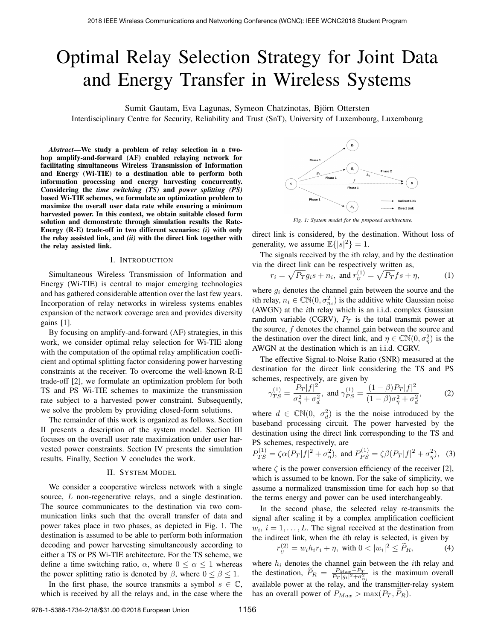# Optimal Relay Selection Strategy for Joint Data and Energy Transfer in Wireless Systems

Sumit Gautam, Eva Lagunas, Symeon Chatzinotas, Bjorn Ottersten ¨

Interdisciplinary Centre for Security, Reliability and Trust (SnT), University of Luxembourg, Luxembourg

*Abstract*—We study a problem of relay selection in a twohop amplify-and-forward (AF) enabled relaying network for facilitating simultaneous Wireless Transmission of Information and Energy (Wi-TIE) to a destination able to perform both information processing and energy harvesting concurrently. Considering the *time switching (TS)* and *power splitting (PS)* based Wi-TIE schemes, we formulate an optimization problem to maximize the overall user data rate while ensuring a minimum harvested power. In this context, we obtain suitable closed form solution and demonstrate through simulation results the Rate-Energy (R-E) trade-off in two different scenarios: *(i)* with only the relay assisted link, and *(ii)* with the direct link together with the relay assisted link.

# I. INTRODUCTION

Simultaneous Wireless Transmission of Information and Energy (Wi-TIE) is central to major emerging technologies and has gathered considerable attention over the last few years. Incorporation of relay networks in wireless systems enables expansion of the network coverage area and provides diversity gains [1].

By focusing on amplify-and-forward (AF) strategies, in this work, we consider optimal relay selection for Wi-TIE along with the computation of the optimal relay amplification coefficient and optimal splitting factor considering power harvesting constraints at the receiver. To overcome the well-known R-E trade-off [2], we formulate an optimization problem for both TS and PS Wi-TIE schemes to maximize the transmission rate subject to a harvested power constraint. Subsequently, we solve the problem by providing closed-form solutions.

The remainder of this work is organized as follows. Section II presents a description of the system model. Section III focuses on the overall user rate maximization under user harvested power constraints. Section IV presents the simulation results. Finally, Section V concludes the work.

### II. SYSTEM MODEL

We consider a cooperative wireless network with a single source, L non-regenerative relays, and a single destination. The source communicates to the destination via two communication links such that the overall transfer of data and power takes place in two phases, as depicted in Fig. 1. The destination is assumed to be able to perform both information decoding and power harvesting simultaneously according to either a TS or PS Wi-TIE architecture. For the TS scheme, we define a time switching ratio,  $\alpha$ , where  $0 \le \alpha \le 1$  whereas the power splitting ratio is denoted by  $\beta$ , where  $0 \le \beta \le 1$ .

In the first phase, the source transmits a symbol  $s \in \mathbb{C}$ , which is received by all the relays and, in the case where the



*Fig. 1: System model for the proposed architecture.*

direct link is considered, by the destination. Without loss of generality, we assume  $\mathbb{E}\{|s|^2\} = 1$ .

The signals received by the ith relay, and by the destination via the direct link can be respectively written as,

$$
r_i = \sqrt{P_T}g_i s + n_i
$$
, and  $r_{U}^{(1)} = \sqrt{P_T}fs + \eta$ , (1)

where  $q_i$  denotes the channel gain between the source and the *i*th relay,  $n_i \in \mathbb{CN}(0, \sigma_{n_i}^2)$  is the additive white Gaussian noise (AWGN) at the ith relay which is an i.i.d. complex Gaussian random variable (CGRV),  $P_T$  is the total transmit power at the source,  $f$  denotes the channel gain between the source and the destination over the direct link, and  $\eta \in \mathbb{CN}(0, \sigma_{\eta}^2)$  is the AWGN at the destination which is an i.i.d. CGRV.

The effective Signal-to-Noise Ratio (SNR) measured at the destination for the direct link considering the TS and PS schemes, respectively, are given by

$$
\gamma_{TS}^{(1)} = \frac{P_T |f|^2}{\sigma_{\eta}^2 + \sigma_d^2}, \text{ and } \gamma_{PS}^{(1)} = \frac{(1-\beta)P_T |f|^2}{(1-\beta)\sigma_{\eta}^2 + \sigma_d^2},\tag{2}
$$

where  $d \in \mathbb{CN}(0, \sigma_d^2)$  is the the noise introduced by the baseband processing circuit. The power harvested by the destination using the direct link corresponding to the TS and PS schemes, respectively, are

$$
P_{TS}^{(1)} = \zeta \alpha (Pr|f|^2 + \sigma_{\eta}^2)
$$
, and  $P_{PS}^{(1)} = \zeta \beta (Pr|f|^2 + \sigma_{\eta}^2)$ , (3)

where  $\zeta$  is the power conversion efficiency of the receiver [2], which is assumed to be known. For the sake of simplicity, we assume a normalized transmission time for each hop so that the terms energy and power can be used interchangeably.

In the second phase, the selected relay re-transmits the signal after scaling it by a complex amplification coefficient  $w_i$ ,  $i = 1, \ldots, L$ . The signal received at the destination from the indirect link, when the  $i$ th relay is selected, is given by

$$
r_U^{(2)} = w_i h_i r_i + \eta, \text{ with } 0 < |w_i|^2 \le \widetilde{P}_R,\tag{4}
$$

where  $h_i$  denotes the channel gain between the *i*th relay and the destination,  $\widetilde{P}_R = \frac{P_{Max}-P_T}{P_T |g_i|^2 + \sigma_{n_i}^2}$  is the maximum overall available power at the relay, and the transmitter-relay system has an overall power of  $P_{Max} > \max(P_T, P_R)$ .